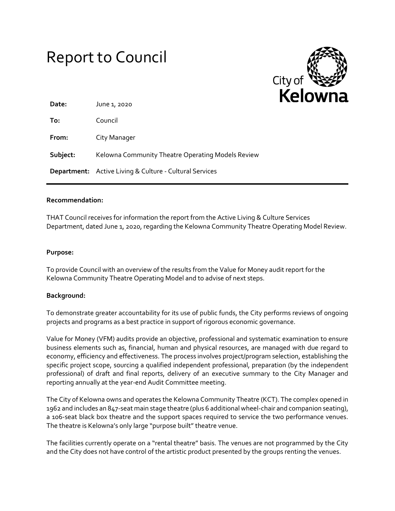# Report to Council



| Date:    | June 1, 2020                                                   |
|----------|----------------------------------------------------------------|
| To:      | Council                                                        |
| From:    | City Manager                                                   |
| Subject: | Kelowna Community Theatre Operating Models Review              |
|          | <b>Department:</b> Active Living & Culture - Cultural Services |

# **Recommendation:**

THAT Council receives for information the report from the Active Living & Culture Services Department, dated June 1, 2020, regarding the Kelowna Community Theatre Operating Model Review.

#### **Purpose:**

To provide Council with an overview of the results from the Value for Money audit report for the Kelowna Community Theatre Operating Model and to advise of next steps.

# **Background:**

To demonstrate greater accountability for its use of public funds, the City performs reviews of ongoing projects and programs as a best practice in support of rigorous economic governance.

Value for Money (VFM) audits provide an objective, professional and systematic examination to ensure business elements such as, financial, human and physical resources, are managed with due regard to economy, efficiency and effectiveness. The process involves project/program selection, establishing the specific project scope, sourcing a qualified independent professional, preparation (by the independent professional) of draft and final reports, delivery of an executive summary to the City Manager and reporting annually at the year-end Audit Committee meeting.

The City of Kelowna owns and operates the Kelowna Community Theatre (KCT). The complex opened in 1962 and includes an 847-seat main stage theatre (plus 6 additional wheel-chair and companion seating), a 106-seat black box theatre and the support spaces required to service the two performance venues. The theatre is Kelowna's only large "purpose built" theatre venue.

The facilities currently operate on a "rental theatre" basis. The venues are not programmed by the City and the City does not have control of the artistic product presented by the groups renting the venues.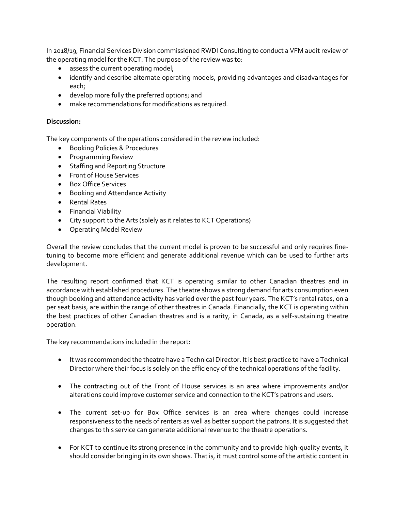In 2018/19, Financial Services Division commissioned RWDI Consulting to conduct a VFM audit review of the operating model for the KCT. The purpose of the review was to:

- assess the current operating model;
- identify and describe alternate operating models, providing advantages and disadvantages for each;
- develop more fully the preferred options; and
- make recommendations for modifications as required.

# **Discussion:**

The key components of the operations considered in the review included:

- **•** Booking Policies & Procedures
- Programming Review
- Staffing and Reporting Structure
- Front of House Services
- Box Office Services
- **•** Booking and Attendance Activity
- Rental Rates
- **•** Financial Viability
- City support to the Arts (solely as it relates to KCT Operations)
- Operating Model Review

Overall the review concludes that the current model is proven to be successful and only requires finetuning to become more efficient and generate additional revenue which can be used to further arts development.

The resulting report confirmed that KCT is operating similar to other Canadian theatres and in accordance with established procedures. The theatre shows a strong demand for arts consumption even though booking and attendance activity has varied over the past four years. The KCT's rental rates, on a per seat basis, are within the range of other theatres in Canada. Financially, the KCT is operating within the best practices of other Canadian theatres and is a rarity, in Canada, as a self-sustaining theatre operation.

The key recommendations included in the report:

- It was recommended the theatre have a Technical Director. It is best practice to have a Technical Director where their focus is solely on the efficiency of the technical operations of the facility.
- The contracting out of the Front of House services is an area where improvements and/or alterations could improve customer service and connection to the KCT's patrons and users.
- The current set-up for Box Office services is an area where changes could increase responsiveness to the needs of renters as well as better support the patrons. It is suggested that changes to this service can generate additional revenue to the theatre operations.
- For KCT to continue its strong presence in the community and to provide high-quality events, it should consider bringing in its own shows. That is, it must control some of the artistic content in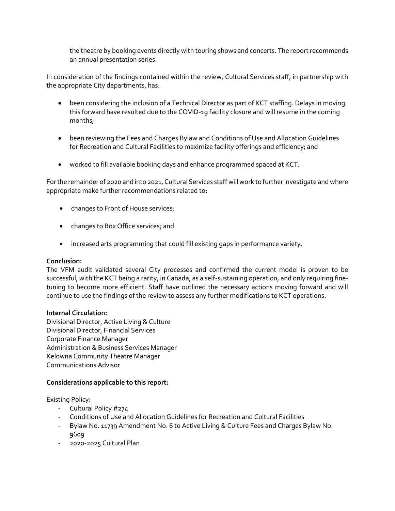the theatre by booking events directly with touring shows and concerts. The report recommends an annual presentation series.

In consideration of the findings contained within the review, Cultural Services staff, in partnership with the appropriate City departments, has:

- been considering the inclusion of a Technical Director as part of KCT staffing. Delays in moving this forward have resulted due to the COVID-19 facility closure and will resume in the coming months;
- been reviewing the Fees and Charges Bylaw and Conditions of Use and Allocation Guidelines for Recreation and Cultural Facilities to maximize facility offerings and efficiency; and
- worked to fill available booking days and enhance programmed spaced at KCT.

For the remainder of 2020 and into 2021, Cultural Services staff will work to further investigate and where appropriate make further recommendations related to:

- changes to Front of House services;
- changes to Box Office services; and
- increased arts programming that could fill existing gaps in performance variety.

# **Conclusion:**

The VFM audit validated several City processes and confirmed the current model is proven to be successful, with the KCT being a rarity, in Canada, as a self-sustaining operation, and only requiring finetuning to become more efficient. Staff have outlined the necessary actions moving forward and will continue to use the findings of the review to assess any further modifications to KCT operations.

# **Internal Circulation:**

Divisional Director, Active Living & Culture Divisional Director, Financial Services Corporate Finance Manager Administration & Business Services Manager Kelowna Community Theatre Manager Communications Advisor

# **Considerations applicable to this report:**

Existing Policy:

- Cultural Policy #274
- Conditions of Use and Allocation Guidelines for Recreation and Cultural Facilities
- Bylaw No. 11739 Amendment No. 6 to Active Living & Culture Fees and Charges Bylaw No. 9609
- 2020-2025 Cultural Plan